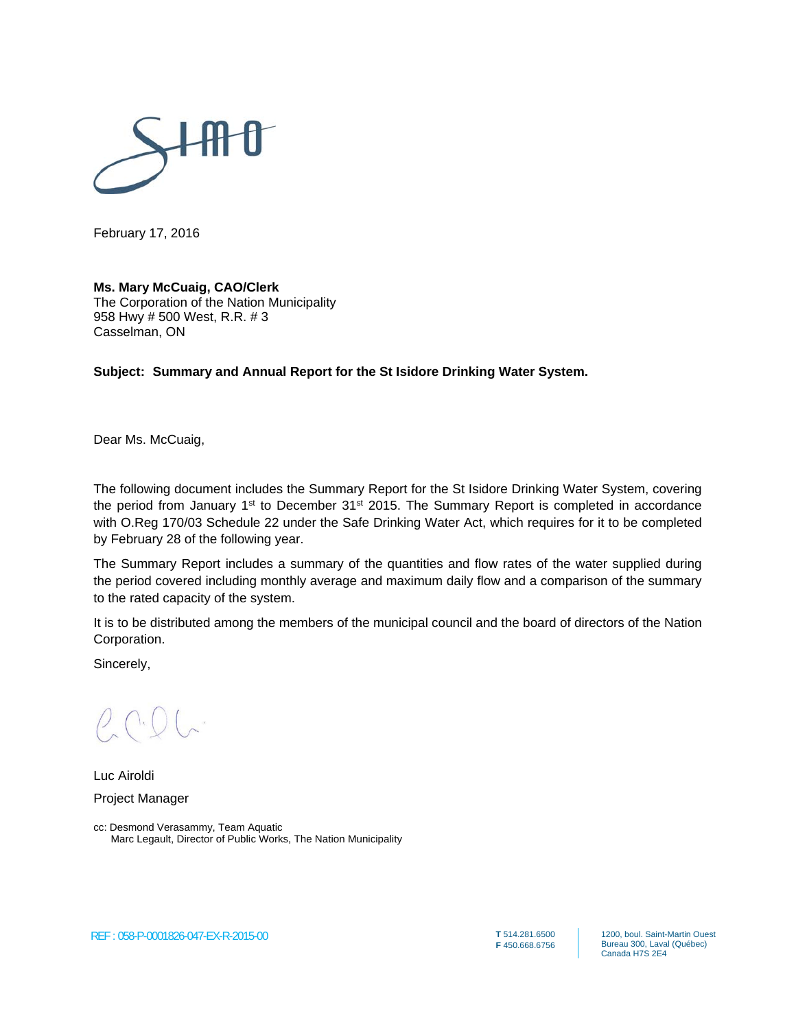

February 17, 2016

#### **Ms. Mary McCuaig, CAO/Clerk**

The Corporation of the Nation Municipality 958 Hwy # 500 West, R.R. # 3 Casselman, ON

#### **Subject: Summary and Annual Report for the St Isidore Drinking Water System.**

Dear Ms. McCuaig,

The following document includes the Summary Report for the St Isidore Drinking Water System, covering the period from January 1<sup>st</sup> to December 31<sup>st</sup> 2015. The Summary Report is completed in accordance with O.Reg 170/03 Schedule 22 under the Safe Drinking Water Act, which requires for it to be completed by February 28 of the following year.

The Summary Report includes a summary of the quantities and flow rates of the water supplied during the period covered including monthly average and maximum daily flow and a comparison of the summary to the rated capacity of the system.

It is to be distributed among the members of the municipal council and the board of directors of the Nation Corporation.

Sincerely,

Luc Airoldi Project Manager

cc: Desmond Verasammy, Team Aquatic Marc Legault, Director of Public Works, The Nation Municipality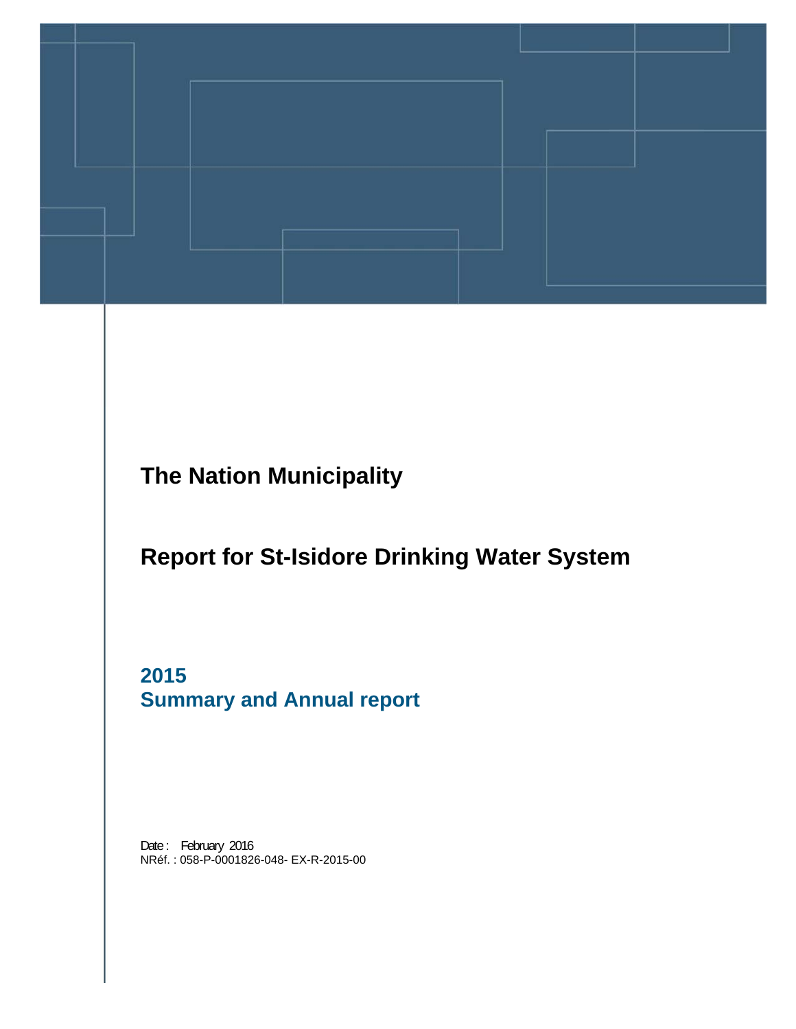

**The Nation Municipality** 

# **Report for St-Isidore Drinking Water System**

**2015 Summary and Annual report** 

Date: February 2016 NRéf. : 058-P-0001826-048- EX-R-2015-00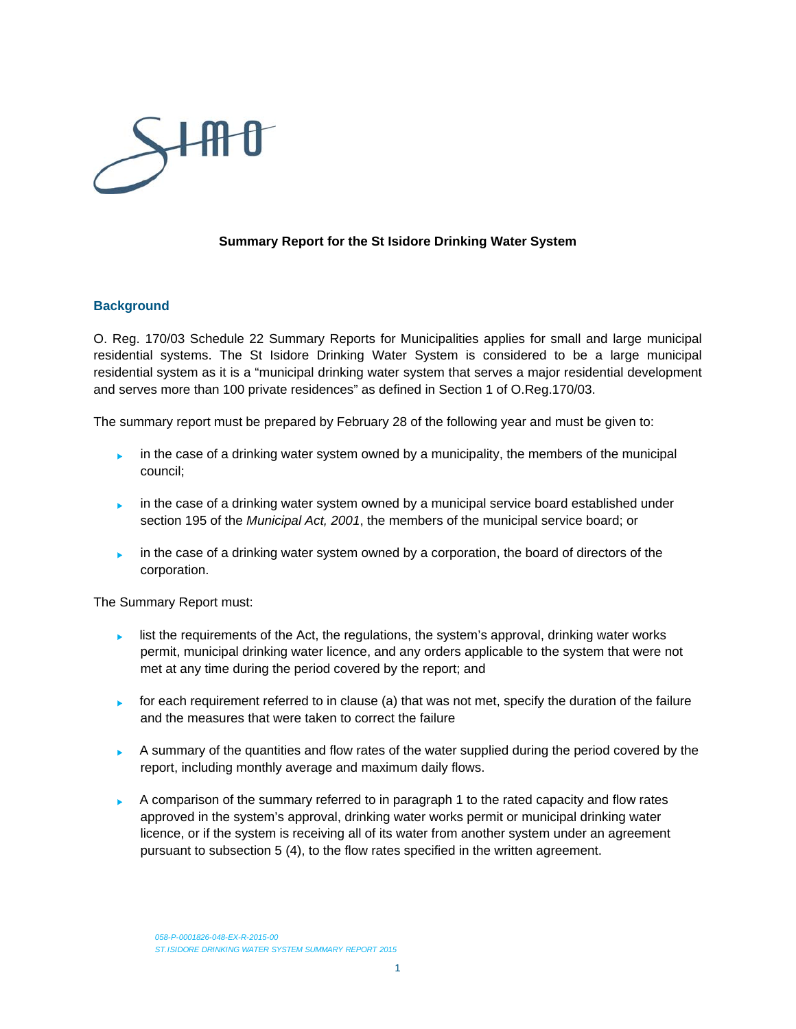

#### **Summary Report for the St Isidore Drinking Water System**

#### **Background**

O. Reg. 170/03 Schedule 22 Summary Reports for Municipalities applies for small and large municipal residential systems. The St Isidore Drinking Water System is considered to be a large municipal residential system as it is a "municipal drinking water system that serves a major residential development and serves more than 100 private residences" as defined in Section 1 of O.Reg.170/03.

The summary report must be prepared by February 28 of the following year and must be given to:

- in the case of a drinking water system owned by a municipality, the members of the municipal council;
- in the case of a drinking water system owned by a municipal service board established under section 195 of the *Municipal Act, 2001*, the members of the municipal service board; or
- in the case of a drinking water system owned by a corporation, the board of directors of the corporation.

The Summary Report must:

- Inst the requirements of the Act, the regulations, the system's approval, drinking water works permit, municipal drinking water licence, and any orders applicable to the system that were not met at any time during the period covered by the report; and
- for each requirement referred to in clause (a) that was not met, specify the duration of the failure and the measures that were taken to correct the failure
- $\blacktriangleright$  A summary of the quantities and flow rates of the water supplied during the period covered by the report, including monthly average and maximum daily flows.
- A comparison of the summary referred to in paragraph 1 to the rated capacity and flow rates approved in the system's approval, drinking water works permit or municipal drinking water licence, or if the system is receiving all of its water from another system under an agreement pursuant to subsection 5 (4), to the flow rates specified in the written agreement.

*058-P-0001826-048-EX-R-2015-00 ST.ISIDORE DRINKING WATER SYSTEM SUMMARY REPORT 2015*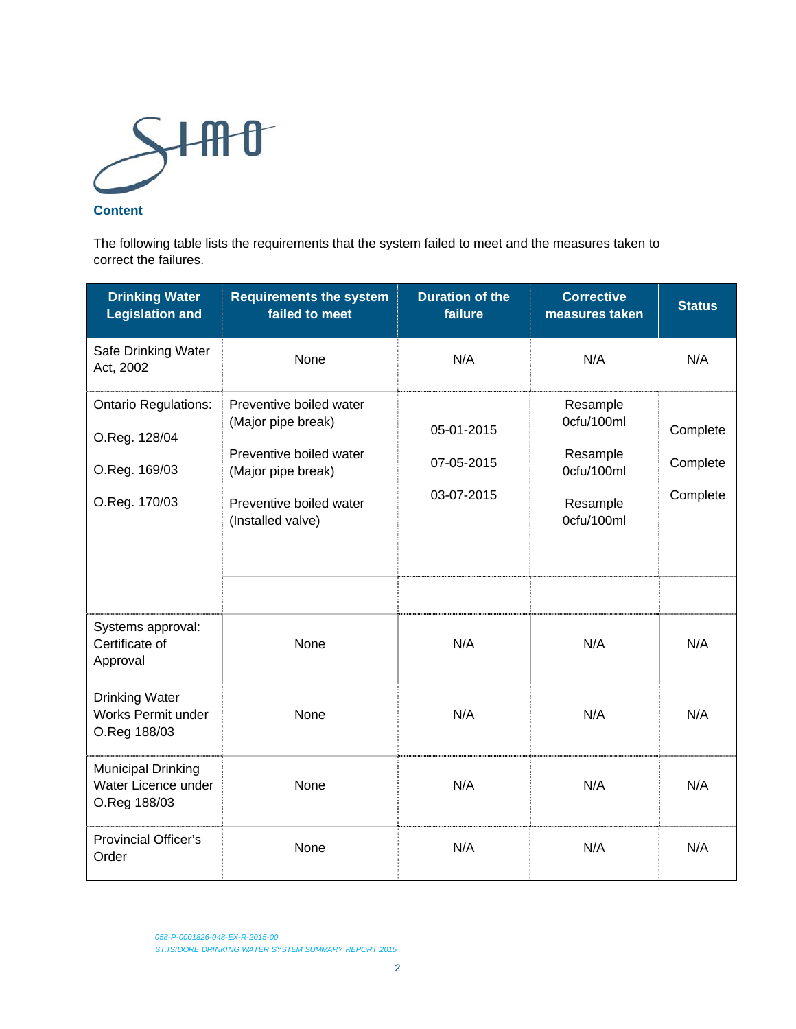

#### **Content**

The following table lists the requirements that the system failed to meet and the measures taken to correct the failures.

| <b>Drinking Water</b><br><b>Legislation and</b>                                | <b>Requirements the system</b><br>failed to meet                                                                                               | <b>Duration of the</b><br>failure      | <b>Corrective</b><br>measures taken                                        | <b>Status</b>                    |
|--------------------------------------------------------------------------------|------------------------------------------------------------------------------------------------------------------------------------------------|----------------------------------------|----------------------------------------------------------------------------|----------------------------------|
| Safe Drinking Water<br>Act, 2002                                               | None                                                                                                                                           | N/A                                    | N/A                                                                        | N/A                              |
| <b>Ontario Regulations:</b><br>O.Reg. 128/04<br>O.Reg. 169/03<br>O.Reg. 170/03 | Preventive boiled water<br>(Major pipe break)<br>Preventive boiled water<br>(Major pipe break)<br>Preventive boiled water<br>(Installed valve) | 05-01-2015<br>07-05-2015<br>03-07-2015 | Resample<br>0cfu/100ml<br>Resample<br>0cfu/100ml<br>Resample<br>0cfu/100ml | Complete<br>Complete<br>Complete |
| Systems approval:<br>Certificate of<br>Approval                                | None                                                                                                                                           | N/A                                    | N/A                                                                        | N/A                              |
| <b>Drinking Water</b><br>Works Permit under<br>O.Reg 188/03                    | None                                                                                                                                           | N/A                                    | N/A                                                                        | N/A                              |
| Municipal Drinking<br>Water Licence under<br>O.Reg 188/03                      | None                                                                                                                                           | N/A                                    | N/A                                                                        | N/A                              |
| <b>Provincial Officer's</b><br>Order                                           | None                                                                                                                                           | N/A                                    | N/A                                                                        | N/A                              |

*058-P-0001826-048-EX-R-2015-00 ST.ISIDORE DRINKING WATER SYSTEM SUMMARY REPORT 2015*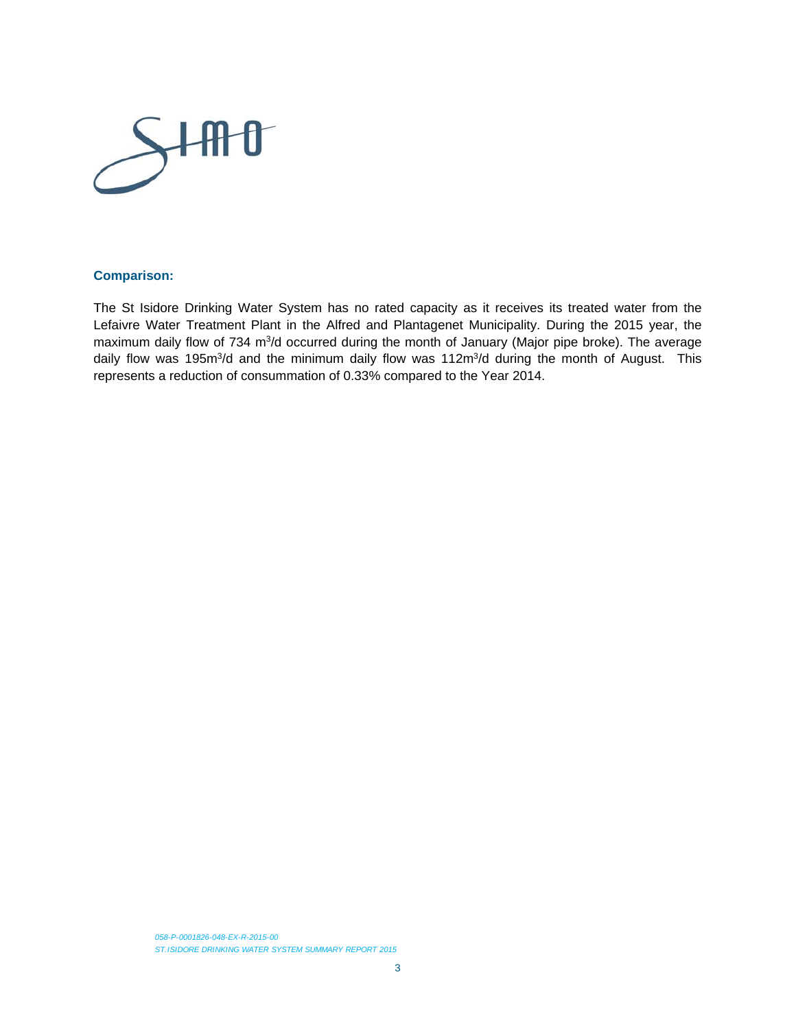

#### **Comparison:**

The St Isidore Drinking Water System has no rated capacity as it receives its treated water from the Lefaivre Water Treatment Plant in the Alfred and Plantagenet Municipality. During the 2015 year, the maximum daily flow of 734 m<sup>3</sup>/d occurred during the month of January (Major pipe broke). The average daily flow was 195m<sup>3</sup>/d and the minimum daily flow was 112m<sup>3</sup>/d during the month of August. This represents a reduction of consummation of 0.33% compared to the Year 2014.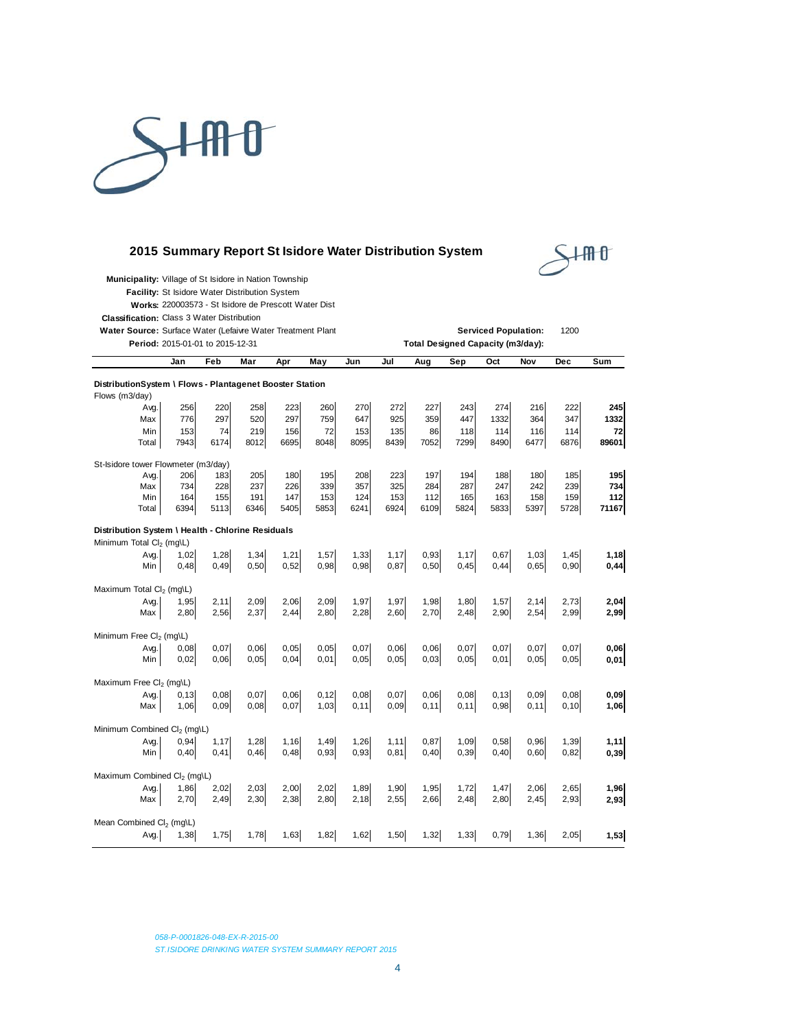

#### **2015 Summary Report St Isidore Water Distribution System**



|  |  | Municipality: Village of St Isidore in Nation Township |  |
|--|--|--------------------------------------------------------|--|
|--|--|--------------------------------------------------------|--|

**Facility:** St Isidore Water Distribution System

**Works:** 220003573 - St Isidore de Prescott Water Dist

**Classification:** Class 3 Water Distribution

Water Source: Surface Water (Lefaivre Water Treatment Plant Nature 1000 Controller Serviced Population: 1200

**Period:** 2015-01-01 to 2015-12-31 **Total Designed Capacity (m3/day):**

|                                                                                           | Jan                       | Feb                       | Mar                       | Apr                       | May                       | Jun                       | Jul                       | Aug                       | <b>Sep</b>                | Oct                        | Nov                       | Dec                       | Sum                          |
|-------------------------------------------------------------------------------------------|---------------------------|---------------------------|---------------------------|---------------------------|---------------------------|---------------------------|---------------------------|---------------------------|---------------------------|----------------------------|---------------------------|---------------------------|------------------------------|
| DistributionSystem \ Flows - Plantagenet Booster Station<br>Flows (m3/day)                |                           |                           |                           |                           |                           |                           |                           |                           |                           |                            |                           |                           |                              |
| Avg.<br>Max<br>Min<br>Total                                                               | 256<br>776<br>153<br>7943 | 220<br>297<br>74<br>6174  | 258<br>520<br>219<br>8012 | 223<br>297<br>156<br>6695 | 260<br>759<br>72<br>8048  | 270<br>647<br>153<br>8095 | 272<br>925<br>135<br>8439 | 227<br>359<br>86<br>7052  | 243<br>447<br>118<br>7299 | 274<br>1332<br>114<br>8490 | 216<br>364<br>116<br>6477 | 222<br>347<br>114<br>6876 | 245<br>1332<br>72<br>89601   |
| St-Isidore tower Flowmeter (m3/day)<br>Avg.<br>Max<br>Min<br>Total                        | 206<br>734<br>164<br>6394 | 183<br>228<br>155<br>5113 | 205<br>237<br>191<br>6346 | 180<br>226<br>147<br>5405 | 195<br>339<br>153<br>5853 | 208<br>357<br>124<br>6241 | 223<br>325<br>153<br>6924 | 197<br>284<br>112<br>6109 | 194<br>287<br>165<br>5824 | 188<br>247<br>163<br>5833  | 180<br>242<br>158<br>5397 | 185<br>239<br>159<br>5728 | 195<br>734<br>$112$<br>71167 |
| Distribution System \ Health - Chlorine Residuals<br>Minimum Total Cl <sub>2</sub> (mg\L) |                           |                           |                           |                           |                           |                           |                           |                           |                           |                            |                           |                           |                              |
| Avg.<br>Min                                                                               | 1,02<br>0,48              | 1,28<br>0,49              | 1,34<br>0,50              | 1,21<br>0,52              | 1,57<br>0,98              | 1,33<br>0,98              | 1,17<br>0,87              | 0,93<br>0,50              | 1,17<br>0,45              | 0,67<br>0,44               | 1,03<br>0,65              | 1,45<br>0,90              | 1,18<br>0,44                 |
| Maximum Total Cl <sub>2</sub> (mg\L)<br>Avg.<br>Max                                       | 1.95<br>2,80              | 2,11<br>2,56              | 2,09<br>2,37              | 2,06<br>2,44              | 2,09<br>2,80              | 1,97<br>2,28              | 1,97<br>2,60              | 1,98<br>2,70              | 1,80<br>2,48              | 1,57<br>2,90               | 2,14<br>2,54              | 2,73<br>2,99              | 2,04<br>2,99                 |
| Minimum Free Cl <sub>2</sub> (mq\L)<br>Avg.<br>Min                                        | 0,08<br>0,02              | 0,07<br>0,06              | 0,06<br>0,05              | 0,05<br>0,04              | 0,05<br>0,01              | 0,07<br>0,05              | 0,06<br>0.05              | 0,06<br>0,03              | 0,07<br>0,05              | 0,07<br>0,01               | 0,07<br>0,05              | 0,07<br>0,05              | 0,06<br>0,01                 |
| Maximum Free Cl <sub>2</sub> (mg\L)                                                       |                           |                           |                           |                           |                           |                           |                           |                           |                           |                            |                           |                           |                              |
| Avg.<br>Max                                                                               | 0.13<br>1,06              | 0,08<br>0.09              | 0,07<br>0,08              | 0,06<br>0,07              | 0, 12<br>1,03             | 0,08<br>0,11              | 0,07<br>0.09              | 0.06<br>0,11              | 0,08<br>0, 11             | 0, 13<br>0,98              | 0,09<br>0, 11             | 0,08<br>0, 10             | 0,09<br>1,06                 |
| Minimum Combined Cl <sub>2</sub> (mq\L)<br>Avg.<br>Min                                    | 0,94<br>0,40              | 1,17<br>0,41              | 1,28<br>0,46              | 1,16<br>0,48              | 1,49<br>0,93              | 1,26<br>0,93              | 1, 11<br>0,81             | 0,87<br>0,40              | 1,09<br>0,39              | 0,58<br>0,40               | 0,96<br>0,60              | 1,39<br>0,82              | 1,11<br>0,39                 |
| Maximum Combined Cl <sub>2</sub> (mg\L)<br>Avg.<br>Max                                    | 1,86<br>2,70              | 2,02<br>2,49              | 2,03<br>2,30              | 2,00<br>2,38              | 2,02<br>2,80              | 1,89<br>2,18              | 1,90<br>2,55              | 1,95<br>2,66              | 1,72<br>2,48              | 1,47<br>2,80               | 2,06<br>2,45              | 2,65<br>2,93              | 1,96<br>2,93                 |
| Mean Combined Cl <sub>2</sub> (mq\L)<br>Avg.                                              | 1,38                      | 1,75                      | 1,78                      | 1,63                      | 1,82                      | 1,62                      | 1,50                      | 1,32                      | 1,33                      | 0,79                       | 1,36                      | 2,05                      | 1,53                         |

*058-P-0001826-048-EX-R-2015-00 ST.ISIDORE DRINKING WATER SYSTEM SUMMARY REPORT 2015*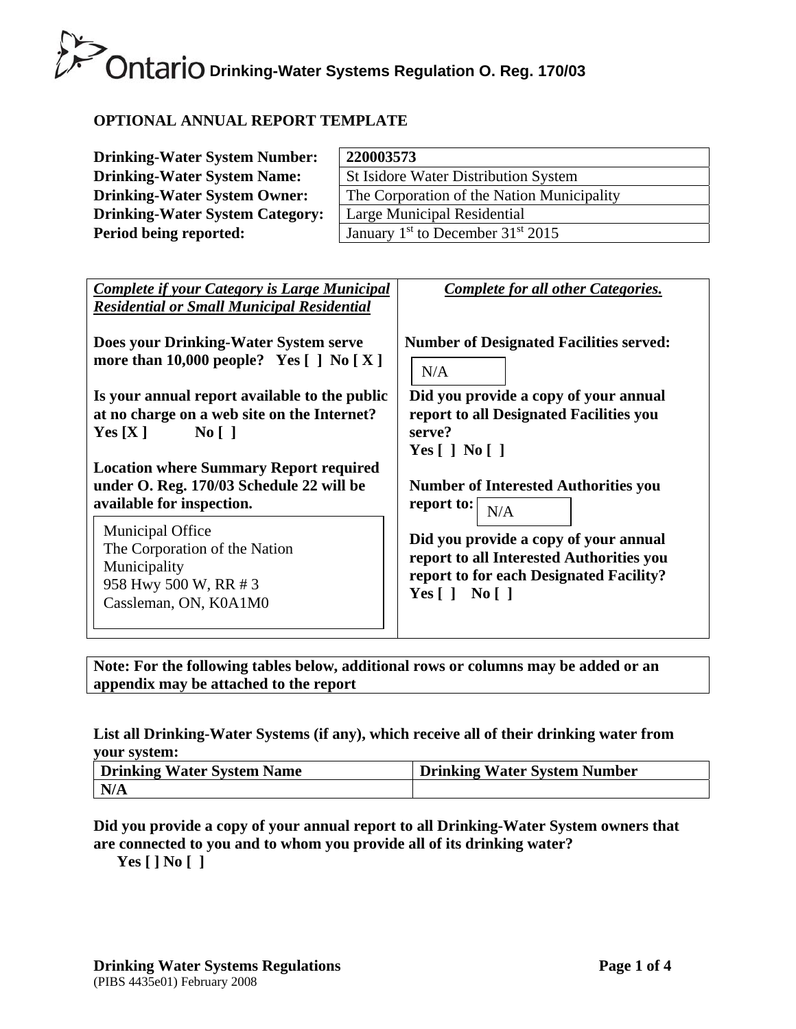# **OPTIONAL ANNUAL REPORT TEMPLATE**

| <b>Drinking-Water System Number:</b>   | 220003573                                       |
|----------------------------------------|-------------------------------------------------|
| <b>Drinking-Water System Name:</b>     | St Isidore Water Distribution System            |
| <b>Drinking-Water System Owner:</b>    | The Corporation of the Nation Municipality      |
| <b>Drinking-Water System Category:</b> | Large Municipal Residential                     |
| Period being reported:                 | January $1st$ to December 31 <sup>st</sup> 2015 |

| <b>Complete if your Category is Large Municipal</b><br><b>Residential or Small Municipal Residential</b>                   | <b>Complete for all other Categories.</b>                                                                                                                  |
|----------------------------------------------------------------------------------------------------------------------------|------------------------------------------------------------------------------------------------------------------------------------------------------------|
| Does your Drinking-Water System serve                                                                                      | <b>Number of Designated Facilities served:</b>                                                                                                             |
| more than 10,000 people? Yes $\lceil \cdot \rceil$ No $\lceil X \rceil$                                                    | N/A                                                                                                                                                        |
| Is your annual report available to the public                                                                              | Did you provide a copy of your annual                                                                                                                      |
| at no charge on a web site on the Internet?                                                                                | report to all Designated Facilities you                                                                                                                    |
| $\overline{N_0}$                                                                                                           | serve?                                                                                                                                                     |
| Yes[X]                                                                                                                     | Yes $\lceil$   No $\lceil$                                                                                                                                 |
| <b>Location where Summary Report required</b>                                                                              | <b>Number of Interested Authorities you</b>                                                                                                                |
| under O. Reg. 170/03 Schedule 22 will be                                                                                   | report to:                                                                                                                                                 |
| available for inspection.                                                                                                  | N/A                                                                                                                                                        |
| <b>Municipal Office</b><br>The Corporation of the Nation<br>Municipality<br>958 Hwy 500 W, RR # 3<br>Cassleman, ON, K0A1M0 | Did you provide a copy of your annual<br>report to all Interested Authorities you<br>report to for each Designated Facility?<br>Yes $\lceil$   No $\lceil$ |

**Note: For the following tables below, additional rows or columns may be added or an appendix may be attached to the report** 

### **List all Drinking-Water Systems (if any), which receive all of their drinking water from your system:**

| Drinking Water System Name | <b>Drinking Water System Number</b> |
|----------------------------|-------------------------------------|
| N/A                        |                                     |

### **Did you provide a copy of your annual report to all Drinking-Water System owners that are connected to you and to whom you provide all of its drinking water?**

**Yes [ ] No [ ]**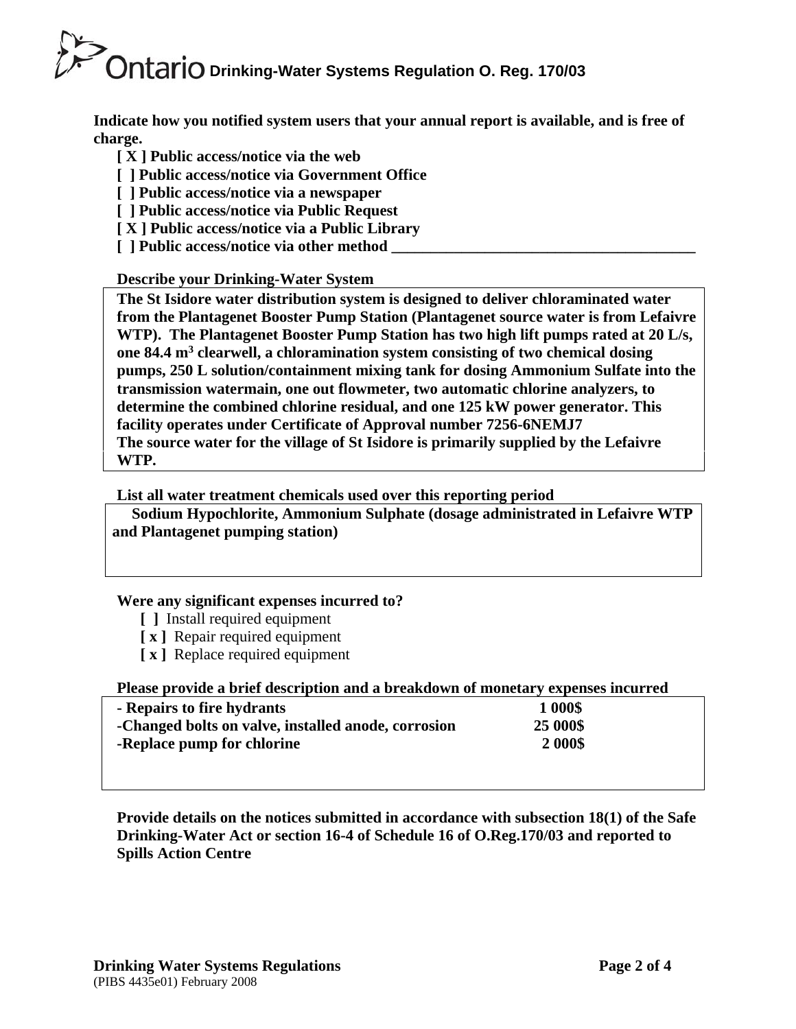**Indicate how you notified system users that your annual report is available, and is free of charge.** 

- **[ X ] Public access/notice via the web**
- **[ ] Public access/notice via Government Office**
- **[ ] Public access/notice via a newspaper**
- **[ ] Public access/notice via Public Request**
- **[ X ] Public access/notice via a Public Library**
- **[** ] Public access/notice via other method

# **Describe your Drinking-Water System**

**The St Isidore water distribution system is designed to deliver chloraminated water from the Plantagenet Booster Pump Station (Plantagenet source water is from Lefaivre WTP). The Plantagenet Booster Pump Station has two high lift pumps rated at 20 L/s, one 84.4 m3 clearwell, a chloramination system consisting of two chemical dosing pumps, 250 L solution/containment mixing tank for dosing Ammonium Sulfate into the transmission watermain, one out flowmeter, two automatic chlorine analyzers, to determine the combined chlorine residual, and one 125 kW power generator. This facility operates under Certificate of Approval number 7256-6NEMJ7 The source water for the village of St Isidore is primarily supplied by the Lefaivre WTP.** 

# **List all water treatment chemicals used over this reporting period**

 **Sodium Hypochlorite, Ammonium Sulphate (dosage administrated in Lefaivre WTP and Plantagenet pumping station)** 

### **Were any significant expenses incurred to?**

- **[ ]** Install required equipment
- **[ x ]** Repair required equipment
- **[ x ]** Replace required equipment

### **Please provide a brief description and a breakdown of monetary expenses incurred**

| - Repairs to fire hydrants                          | 1 000\$  |  |
|-----------------------------------------------------|----------|--|
| -Changed bolts on valve, installed anode, corrosion | 25 000\$ |  |
| -Replace pump for chlorine                          | 2 000\$  |  |
|                                                     |          |  |

**Provide details on the notices submitted in accordance with subsection 18(1) of the Safe Drinking-Water Act or section 16-4 of Schedule 16 of O.Reg.170/03 and reported to Spills Action Centre**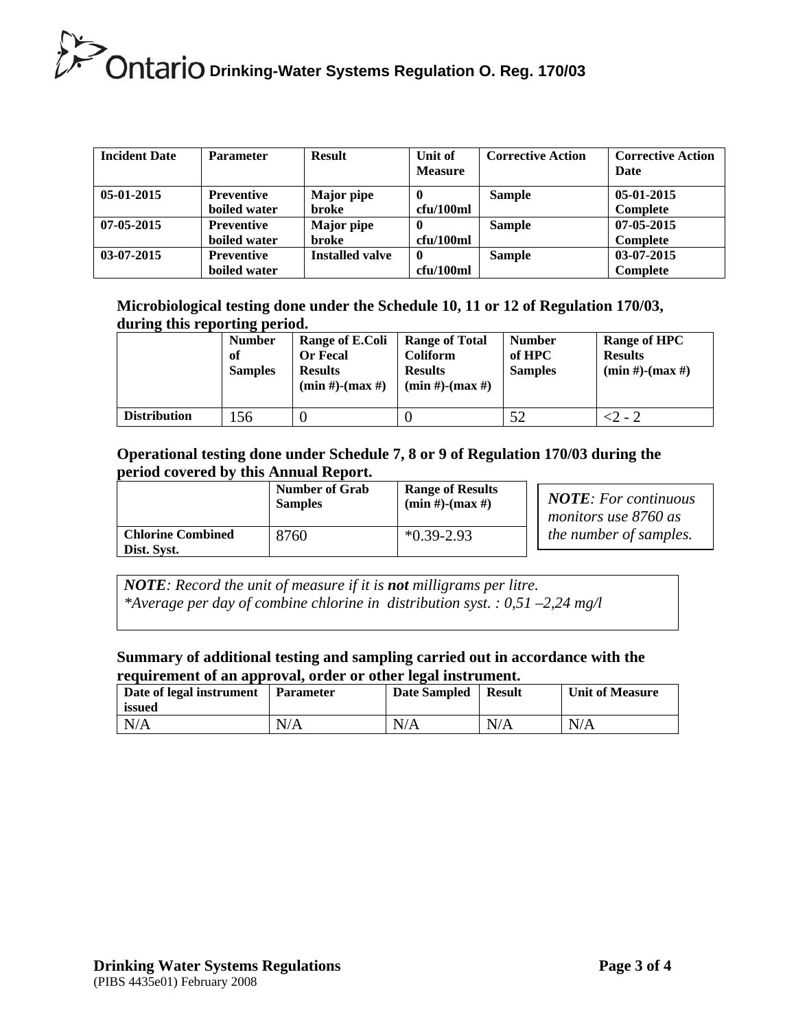| <b>Incident Date</b> | <b>Parameter</b>                  | <b>Result</b>              | Unit of<br><b>Measure</b> | <b>Corrective Action</b> | <b>Corrective Action</b><br>Date |
|----------------------|-----------------------------------|----------------------------|---------------------------|--------------------------|----------------------------------|
| $05-01-2015$         | <b>Preventive</b><br>boiled water | <b>Major</b> pipe<br>broke | 0<br>cfu/100ml            | <b>Sample</b>            | 05-01-2015<br><b>Complete</b>    |
| $07 - 05 - 2015$     | <b>Preventive</b><br>boiled water | <b>Major</b> pipe<br>broke | -0<br>cfu/100ml           | <b>Sample</b>            | 07-05-2015<br><b>Complete</b>    |
| $03-07-2015$         | <b>Preventive</b><br>boiled water | <b>Installed valve</b>     | $\mathbf 0$<br>cfu/100ml  | <b>Sample</b>            | 03-07-2015<br>Complete           |

**Microbiological testing done under the Schedule 10, 11 or 12 of Regulation 170/03, during this reporting period.**

|                     | <b>Number</b><br>of<br><b>Samples</b> | Range of E.Coli<br><b>Or Fecal</b><br><b>Results</b><br>$(min #)-(max #)$ | <b>Range of Total</b><br><b>Coliform</b><br><b>Results</b><br>$(min #)$ - $(max #)$ | <b>Number</b><br>of HPC<br><b>Samples</b> | <b>Range of HPC</b><br><b>Results</b><br>$(min #)$ - $(max #)$ |
|---------------------|---------------------------------------|---------------------------------------------------------------------------|-------------------------------------------------------------------------------------|-------------------------------------------|----------------------------------------------------------------|
| <b>Distribution</b> | 56                                    |                                                                           |                                                                                     | 52                                        | -2 - 2                                                         |

#### **Operational testing done under Schedule 7, 8 or 9 of Regulation 170/03 during the period covered by this Annual Report.**

|                                         | <b>Number of Grab</b> | <b>Range of Results</b> | <b>NOTE:</b> For continuous |
|-----------------------------------------|-----------------------|-------------------------|-----------------------------|
|                                         | <b>Samples</b>        | $(min #)$ - $(max #)$   | monitors use 8760 as        |
| <b>Chlorine Combined</b><br>Dist. Syst. | 8760                  | $*0.39 - 2.93$          | the number of samples.      |

*NOTE: Record the unit of measure if it is not milligrams per litre. \*Average per day of combine chlorine in distribution syst. : 0,51 –2,24 mg/l* 

#### **Summary of additional testing and sampling carried out in accordance with the requirement of an approval, order or other legal instrument.**

| Date of legal instrument<br>issued | <b>Parameter</b> | Date Sampled | <b>Result</b> | <b>Unit of Measure</b> |
|------------------------------------|------------------|--------------|---------------|------------------------|
| N/A                                | N/A              | N/A          | N/A           | N/A                    |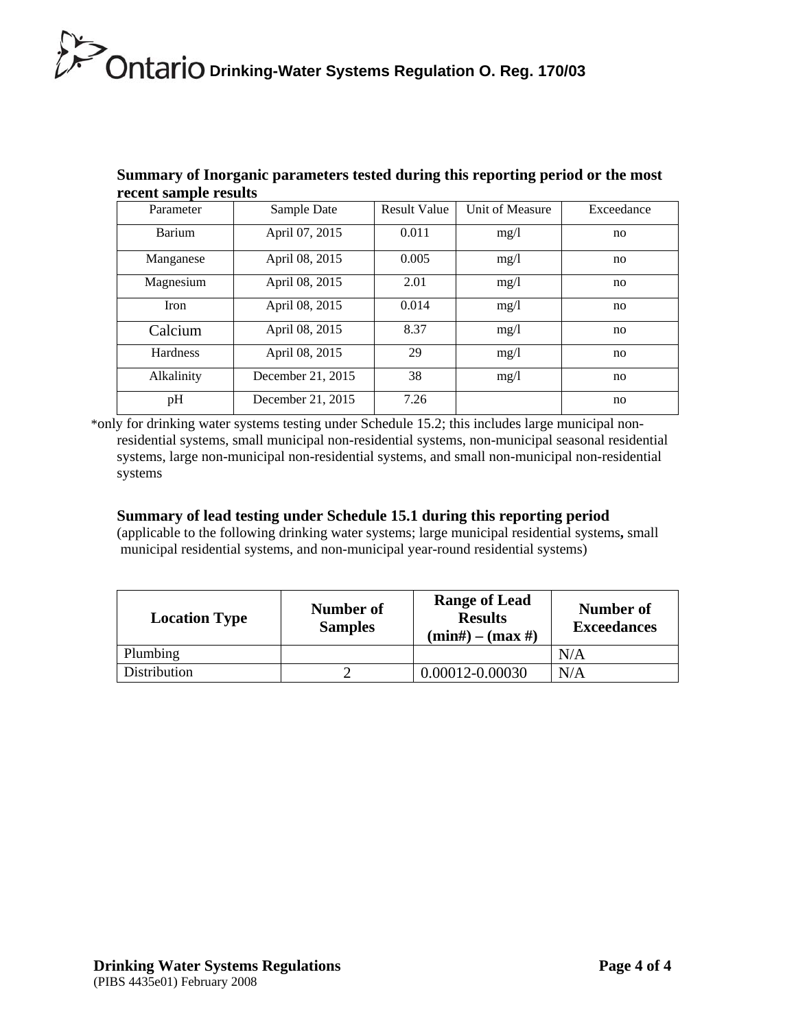| eccare built pro a courtes |                   |                     |                 |            |
|----------------------------|-------------------|---------------------|-----------------|------------|
| Parameter                  | Sample Date       | <b>Result Value</b> | Unit of Measure | Exceedance |
| Barium                     | April 07, 2015    | 0.011               | mg/1            | no         |
| Manganese                  | April 08, 2015    | 0.005               | mg/1            | no         |
| Magnesium                  | April 08, 2015    | 2.01                | mg/1            | no         |
| Iron                       | April 08, 2015    | 0.014               | mg/1            | no         |
| Calcium                    | April 08, 2015    | 8.37                | mg/1            | no         |
| <b>Hardness</b>            | April 08, 2015    | 29                  | mg/l            | no         |
| Alkalinity                 | December 21, 2015 | 38                  | mg/1            | no         |
| pH                         | December 21, 2015 | 7.26                |                 | no         |

### **Summary of Inorganic parameters tested during this reporting period or the most recent sample results**

\*only for drinking water systems testing under Schedule 15.2; this includes large municipal nonresidential systems, small municipal non-residential systems, non-municipal seasonal residential systems, large non-municipal non-residential systems, and small non-municipal non-residential systems

#### **Summary of lead testing under Schedule 15.1 during this reporting period**

(applicable to the following drinking water systems; large municipal residential systems**,** small municipal residential systems, and non-municipal year-round residential systems)

| <b>Location Type</b> | Number of<br><b>Samples</b> | <b>Range of Lead</b><br><b>Results</b><br>$(min\#) - (max\#)$ | Number of<br><b>Exceedances</b> |
|----------------------|-----------------------------|---------------------------------------------------------------|---------------------------------|
| Plumbing             |                             |                                                               | N/A                             |
| Distribution         |                             | 0.00012-0.00030                                               | N/A                             |